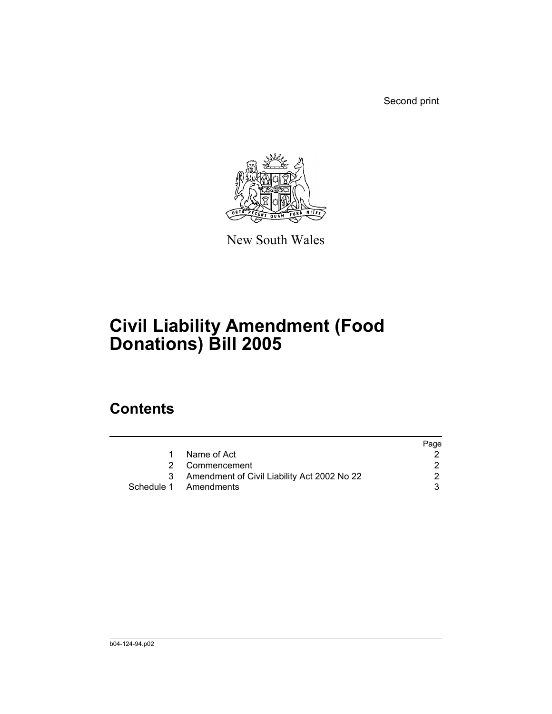Second print



New South Wales

# **Civil Liability Amendment (Food Donations) Bill 2005**

### **Contents**

|                                             | Page                                    |
|---------------------------------------------|-----------------------------------------|
| Name of Act                                 |                                         |
|                                             |                                         |
| Amendment of Civil Liability Act 2002 No 22 |                                         |
|                                             |                                         |
|                                             | 2 Commencement<br>Schedule 1 Amendments |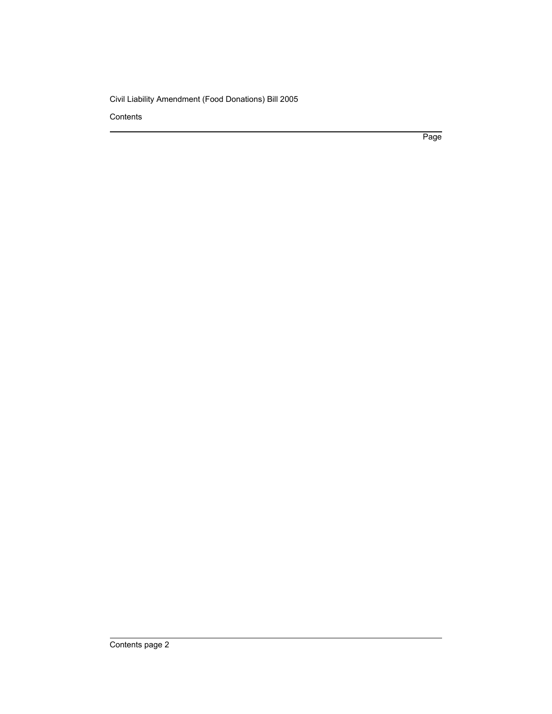Civil Liability Amendment (Food Donations) Bill 2005

**Contents** 

Page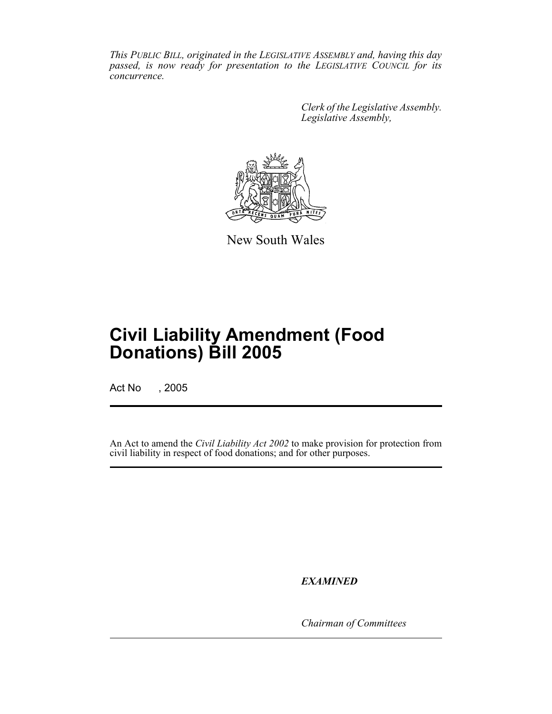*This PUBLIC BILL, originated in the LEGISLATIVE ASSEMBLY and, having this day passed, is now ready for presentation to the LEGISLATIVE COUNCIL for its concurrence.*

> *Clerk of the Legislative Assembly. Legislative Assembly,*



New South Wales

## **Civil Liability Amendment (Food Donations) Bill 2005**

Act No , 2005

An Act to amend the *Civil Liability Act 2002* to make provision for protection from civil liability in respect of food donations; and for other purposes.

*EXAMINED*

*Chairman of Committees*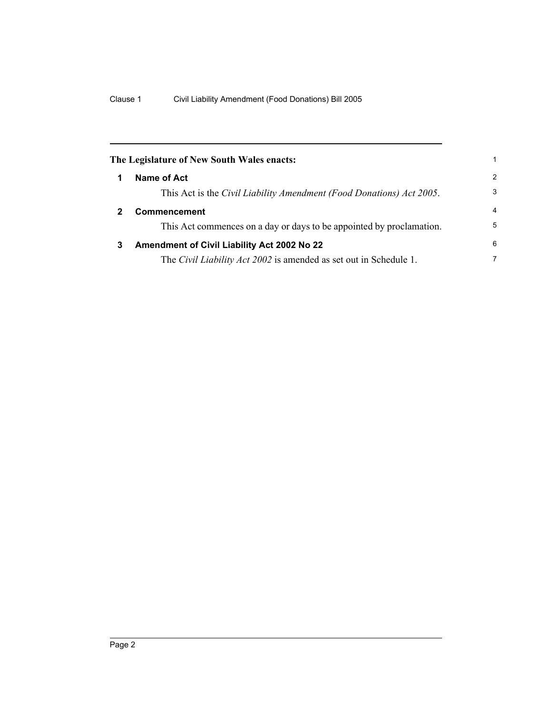|              | The Legislature of New South Wales enacts:                               | 1              |
|--------------|--------------------------------------------------------------------------|----------------|
|              | Name of Act                                                              | $\overline{2}$ |
|              | This Act is the Civil Liability Amendment (Food Donations) Act 2005.     | 3              |
| $\mathbf{2}$ | <b>Commencement</b>                                                      | $\overline{4}$ |
|              | This Act commences on a day or days to be appointed by proclamation.     | 5              |
| 3            | Amendment of Civil Liability Act 2002 No 22                              | 6              |
|              | The <i>Civil Liability Act 2002</i> is amended as set out in Schedule 1. | 7              |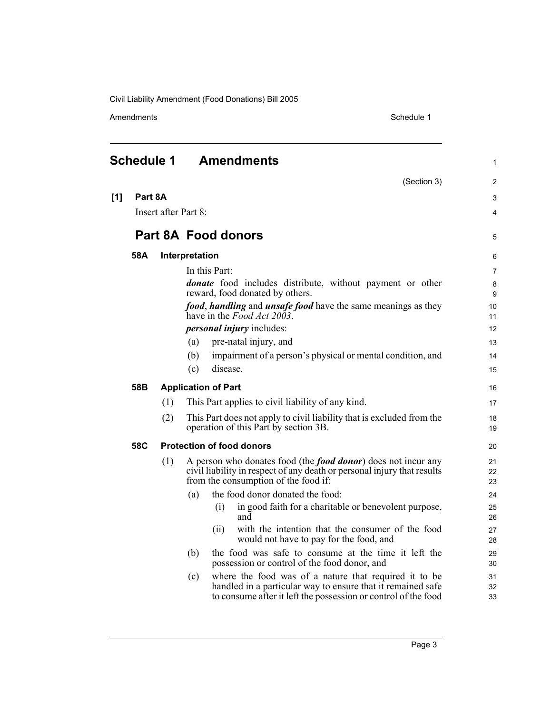Civil Liability Amendment (Food Donations) Bill 2005

Amendments Schedule 1

| <b>Schedule 1</b>    |         |     | <b>Amendments</b>                                                                                                                                                                             | $\mathbf{1}$   |
|----------------------|---------|-----|-----------------------------------------------------------------------------------------------------------------------------------------------------------------------------------------------|----------------|
|                      |         |     | (Section 3)                                                                                                                                                                                   | 2              |
| [1]                  | Part 8A |     |                                                                                                                                                                                               | 3              |
| Insert after Part 8: |         |     |                                                                                                                                                                                               | 4              |
|                      |         |     | <b>Part 8A Food donors</b>                                                                                                                                                                    | 5              |
|                      | 58A     |     | Interpretation                                                                                                                                                                                | 6              |
|                      |         |     | In this Part:                                                                                                                                                                                 | $\overline{7}$ |
|                      |         |     | <i>donate</i> food includes distribute, without payment or other<br>reward, food donated by others.                                                                                           | 8<br>9         |
|                      |         |     | food, handling and unsafe food have the same meanings as they<br>have in the Food Act 2003.                                                                                                   | 10<br>11       |
|                      |         |     | personal injury includes:                                                                                                                                                                     | 12             |
|                      |         |     | pre-natal injury, and<br>(a)                                                                                                                                                                  | 13             |
|                      |         |     | (b)<br>impairment of a person's physical or mental condition, and                                                                                                                             | 14             |
|                      |         |     | disease.<br>(c)                                                                                                                                                                               | 15             |
|                      | 58B     |     | <b>Application of Part</b>                                                                                                                                                                    | 16             |
|                      |         | (1) | This Part applies to civil liability of any kind.                                                                                                                                             | 17             |
|                      |         | (2) | This Part does not apply to civil liability that is excluded from the<br>operation of this Part by section 3B.                                                                                | 18<br>19       |
|                      | 58C     |     | <b>Protection of food donors</b>                                                                                                                                                              | 20             |
|                      |         | (1) | A person who donates food (the <i>food donor</i> ) does not incur any                                                                                                                         | 21             |
|                      |         |     | civil liability in respect of any death or personal injury that results<br>from the consumption of the food if:                                                                               | 22<br>23       |
|                      |         |     | the food donor donated the food:<br>(a)                                                                                                                                                       | 24             |
|                      |         |     | in good faith for a charitable or benevolent purpose,<br>(i)<br>and                                                                                                                           | 25<br>26       |
|                      |         |     | with the intention that the consumer of the food<br>(ii)<br>would not have to pay for the food, and                                                                                           | 27<br>28       |
|                      |         |     | (b)<br>the food was safe to consume at the time it left the<br>possession or control of the food donor, and                                                                                   | 29<br>30       |
|                      |         |     | where the food was of a nature that required it to be<br>(c)<br>handled in a particular way to ensure that it remained safe<br>to consume after it left the possession or control of the food | 31<br>32<br>33 |